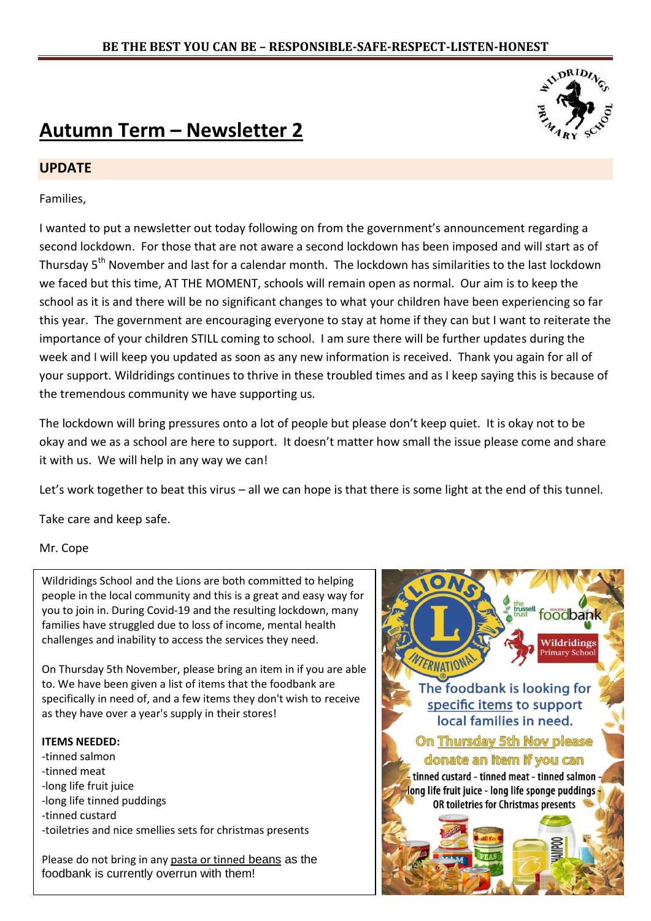## **Autumn Term – Newsletter 2**

#### **UPDATE**

Families,

I wanted to put a newsletter out today following on from the government's announcement regarding a second lockdown. For those that are not aware a second lockdown has been imposed and will start as of Thursdav 5<sup>th</sup> November and last for a calendar month. The lockdown has similarities to the last lockdown we faced but this time, AT THE MOMENT, schools will remain open as normal. Our aim is to keep the school as it is and there will be no significant changes to what your children have been experiencing so far this year. The government are encouraging everyone to stay at home if they can but I want to reiterate the importance of your children STILL coming to school. I am sure there will be further updates during the week and I will keep you updated as soon as any new information is received. Thank you again for all of your support. Wildridings continues to thrive in these troubled times and as I keep saying this is because of the tremendous community we have supporting us.

The lockdown will bring pressures onto a lot of people but please don't keep quiet. It is okay not to be okay and we as a school are here to support. It doesn't matter how small the issue please come and share it with us. We will help in any way we can!

Let's work together to beat this virus – all we can hope is that there is some light at the end of this tunnel.

Take care and keep safe.

Mr. Cope

Wildridings School and the Lions are both committed to helping people in the local community and this is a great and easy way for you to join in. During Covid-19 and the resulting lockdown, many families have struggled due to loss of income, mental health challenges and inability to access the services they need.

On Thursday 5th November, please bring an item in if you are able to. We have been given a list of items that the foodbank are specifically in need of, and a few items they don't wish to receive as they have over a year's supply in their stores!

#### **ITEMS NEEDED:**

-tinned salmon -tinned meat -long life fruit juice -long life tinned puddings -tinned custard -toiletries and nice smellies sets for christmas presents

Please do not bring in any pasta or tinned beans as the foodbank is currently overrun with them!



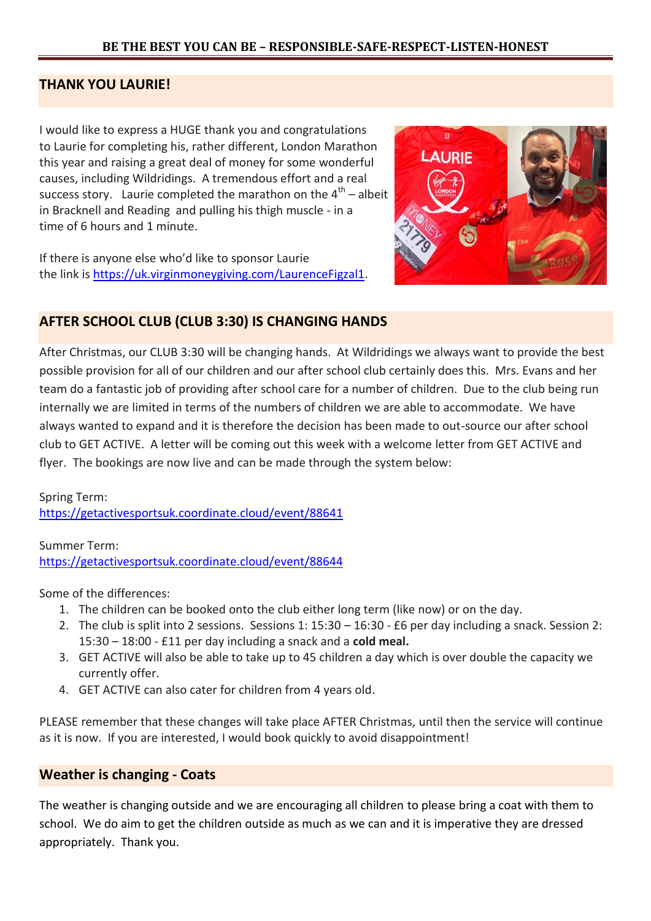#### **THANK YOU LAURIE!**

I would like to express a HUGE thank you and congratulations to Laurie for completing his, rather different, London Marathon this year and raising a great deal of money for some wonderful causes, including Wildridings. A tremendous effort and a real success story. Laurie completed the marathon on the  $4^{th}$  – albeit in Bracknell and Reading and pulling his thigh muscle - in a time of 6 hours and 1 minute.

If there is anyone else who'd like to sponsor Laurie the link is [https://uk.virginmoneygiving.com/LaurenceFigzal1.](https://eur01.safelinks.protection.outlook.com/?url=https%3A%2F%2Fuk.virginmoneygiving.com%2FLaurenceFigzal1&data=02%7C01%7CLaurie.Figzal%40westcoast.co.uk%7C94922ed532c0430f055108d860c9bc46%7Cc1c6a0ccf5104e7d90324eec7581641d%7C0%7C0%7C637365766844188866&sdata=m7G6YG9RN1n104zd08YUVVALZpKTxjrs8oMXvsHSb6k%3D&reserved=0)



#### **AFTER SCHOOL CLUB (CLUB 3:30) IS CHANGING HANDS**

After Christmas, our CLUB 3:30 will be changing hands. At Wildridings we always want to provide the best possible provision for all of our children and our after school club certainly does this. Mrs. Evans and her team do a fantastic job of providing after school care for a number of children. Due to the club being run internally we are limited in terms of the numbers of children we are able to accommodate. We have always wanted to expand and it is therefore the decision has been made to out-source our after school club to GET ACTIVE. A letter will be coming out this week with a welcome letter from GET ACTIVE and flyer. The bookings are now live and can be made through the system below:

Spring Term: <https://getactivesportsuk.coordinate.cloud/event/88641>

Summer Term: <https://getactivesportsuk.coordinate.cloud/event/88644>

Some of the differences:

- 1. The children can be booked onto the club either long term (like now) or on the day.
- 2. The club is split into 2 sessions. Sessions 1: 15:30 16:30 £6 per day including a snack. Session 2: 15:30 – 18:00 - £11 per day including a snack and a **cold meal.**
- 3. GET ACTIVE will also be able to take up to 45 children a day which is over double the capacity we currently offer.
- 4. GET ACTIVE can also cater for children from 4 years old.

PLEASE remember that these changes will take place AFTER Christmas, until then the service will continue as it is now. If you are interested, I would book quickly to avoid disappointment!

#### **Weather is changing - Coats**

The weather is changing outside and we are encouraging all children to please bring a coat with them to school. We do aim to get the children outside as much as we can and it is imperative they are dressed appropriately. Thank you.